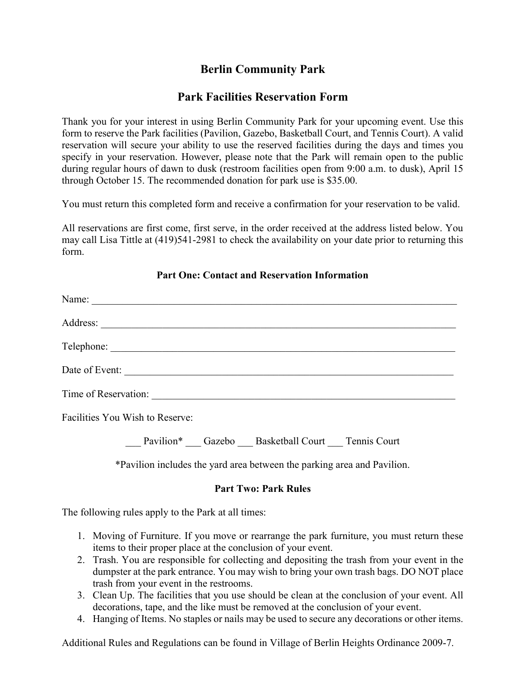# Berlin Community Park

## Park Facilities Reservation Form

Thank you for your interest in using Berlin Community Park for your upcoming event. Use this form to reserve the Park facilities (Pavilion, Gazebo, Basketball Court, and Tennis Court). A valid reservation will secure your ability to use the reserved facilities during the days and times you specify in your reservation. However, please note that the Park will remain open to the public during regular hours of dawn to dusk (restroom facilities open from 9:00 a.m. to dusk), April 15 through October 15. The recommended donation for park use is \$35.00.

You must return this completed form and receive a confirmation for your reservation to be valid.

All reservations are first come, first serve, in the order received at the address listed below. You may call Lisa Tittle at (419)541-2981 to check the availability on your date prior to returning this form.

| Address:                        |           |        |                               |  |
|---------------------------------|-----------|--------|-------------------------------|--|
|                                 |           |        |                               |  |
|                                 |           |        | Date of Event:                |  |
| Time of Reservation:            |           |        |                               |  |
| Facilities You Wish to Reserve: |           |        |                               |  |
|                                 | Pavilion* | Gazebo | Basketball Court Tennis Court |  |

#### Part One: Contact and Reservation Information

\*Pavilion includes the yard area between the parking area and Pavilion.

## Part Two: Park Rules

The following rules apply to the Park at all times:

- 1. Moving of Furniture. If you move or rearrange the park furniture, you must return these items to their proper place at the conclusion of your event.
- 2. Trash. You are responsible for collecting and depositing the trash from your event in the dumpster at the park entrance. You may wish to bring your own trash bags. DO NOT place trash from your event in the restrooms.
- 3. Clean Up. The facilities that you use should be clean at the conclusion of your event. All decorations, tape, and the like must be removed at the conclusion of your event.
- 4. Hanging of Items. No staples or nails may be used to secure any decorations or other items.

Additional Rules and Regulations can be found in Village of Berlin Heights Ordinance 2009-7.